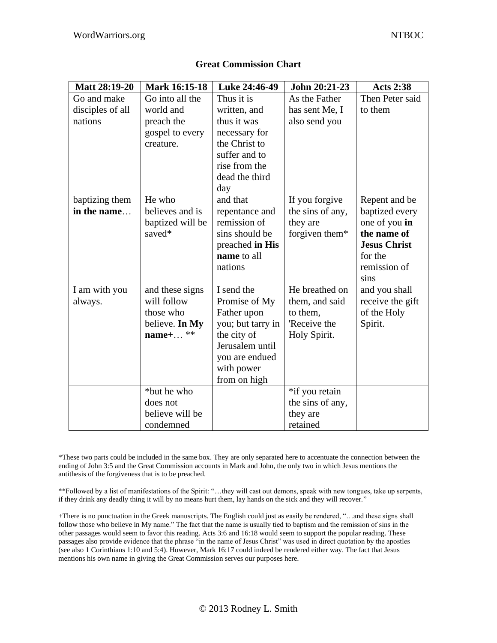| <b>Matt 28:19-20</b> | Mark 16:15-18    | Luke 24:46-49     | John 20:21-23    | <b>Acts 2:38</b>    |
|----------------------|------------------|-------------------|------------------|---------------------|
| Go and make          | Go into all the  | Thus it is        | As the Father    | Then Peter said     |
| disciples of all     | world and        | written, and      | has sent Me, I   | to them             |
| nations              | preach the       | thus it was       | also send you    |                     |
|                      | gospel to every  | necessary for     |                  |                     |
|                      | creature.        | the Christ to     |                  |                     |
|                      |                  | suffer and to     |                  |                     |
|                      |                  | rise from the     |                  |                     |
|                      |                  | dead the third    |                  |                     |
|                      |                  | day               |                  |                     |
| baptizing them       | He who           | and that          | If you forgive   | Repent and be       |
| in the name          | believes and is  | repentance and    | the sins of any, | baptized every      |
|                      | baptized will be | remission of      | they are         | one of you in       |
|                      | saved*           | sins should be    | forgiven them*   | the name of         |
|                      |                  | preached in His   |                  | <b>Jesus Christ</b> |
|                      |                  | name to all       |                  | for the             |
|                      |                  | nations           |                  | remission of        |
|                      |                  |                   |                  | sins                |
| I am with you        | and these signs  | I send the        | He breathed on   | and you shall       |
| always.              | will follow      | Promise of My     | them, and said   | receive the gift    |
|                      | those who        | Father upon       | to them,         | of the Holy         |
|                      | believe. In My   | you; but tarry in | 'Receive the     | Spirit.             |
|                      | $name+$ **       | the city of       | Holy Spirit.     |                     |
|                      |                  | Jerusalem until   |                  |                     |
|                      |                  | you are endued    |                  |                     |
|                      |                  | with power        |                  |                     |
|                      |                  | from on high      |                  |                     |
|                      | *but he who      |                   | *if you retain   |                     |
|                      | does not         |                   | the sins of any, |                     |
|                      | believe will be  |                   | they are         |                     |
|                      | condemned        |                   | retained         |                     |

## **Great Commission Chart**

\*These two parts could be included in the same box. They are only separated here to accentuate the connection between the ending of John 3:5 and the Great Commission accounts in Mark and John, the only two in which Jesus mentions the antithesis of the forgiveness that is to be preached.

\*\*Followed by a list of manifestations of the Spirit: "…they will cast out demons, speak with new tongues, take up serpents, if they drink any deadly thing it will by no means hurt them, lay hands on the sick and they will recover."

+There is no punctuation in the Greek manuscripts. The English could just as easily be rendered, "…and these signs shall follow those who believe in My name." The fact that the name is usually tied to baptism and the remission of sins in the other passages would seem to favor this reading. Acts 3:6 and 16:18 would seem to support the popular reading. These passages also provide evidence that the phrase "in the name of Jesus Christ" was used in direct quotation by the apostles (see also 1 Corinthians 1:10 and 5:4). However, Mark 16:17 could indeed be rendered either way. The fact that Jesus mentions his own name in giving the Great Commission serves our purposes here.